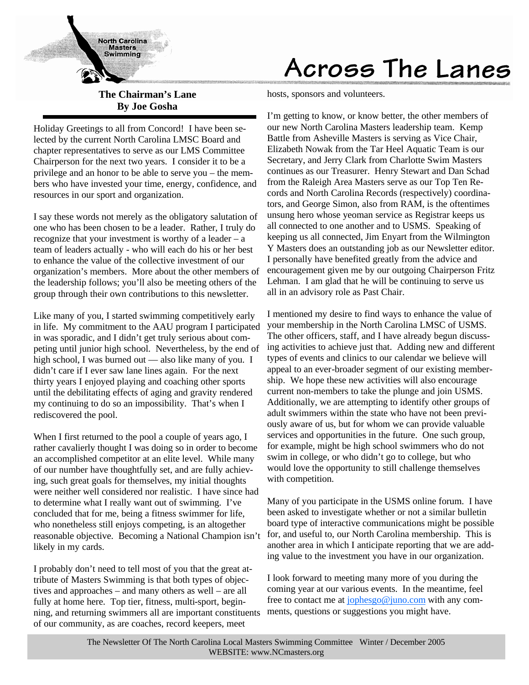

**The Chairman's Lane By Joe Gosha**

Holiday Greetings to all from Concord! I have been selected by the current North Carolina LMSC Board and chapter representatives to serve as our LMS Committee Chairperson for the next two years. I consider it to be a privilege and an honor to be able to serve you – the members who have invested your time, energy, confidence, and resources in our sport and organization.

I say these words not merely as the obligatory salutation of one who has been chosen to be a leader. Rather, I truly do recognize that your investment is worthy of a leader – a team of leaders actually - who will each do his or her best to enhance the value of the collective investment of our organization's members. More about the other members of the leadership follows; you'll also be meeting others of the group through their own contributions to this newsletter.

Like many of you, I started swimming competitively early in life. My commitment to the AAU program I participated in was sporadic, and I didn't get truly serious about competing until junior high school. Nevertheless, by the end of high school, I was burned out — also like many of you. I didn't care if I ever saw lane lines again. For the next thirty years I enjoyed playing and coaching other sports until the debilitating effects of aging and gravity rendered my continuing to do so an impossibility. That's when I rediscovered the pool.

When I first returned to the pool a couple of years ago, I rather cavalierly thought I was doing so in order to become an accomplished competitor at an elite level. While many of our number have thoughtfully set, and are fully achieving, such great goals for themselves, my initial thoughts were neither well considered nor realistic. I have since had to determine what I really want out of swimming. I've concluded that for me, being a fitness swimmer for life, who nonetheless still enjoys competing, is an altogether reasonable objective. Becoming a National Champion isn't likely in my cards.

I probably don't need to tell most of you that the great attribute of Masters Swimming is that both types of objectives and approaches – and many others as well – are all fully at home here. Top tier, fitness, multi-sport, beginning, and returning swimmers all are important constituents of our community, as are coaches, record keepers, meet

# Across The Lanes

hosts, sponsors and volunteers.

I'm getting to know, or know better, the other members of our new North Carolina Masters leadership team. Kemp Battle from Asheville Masters is serving as Vice Chair, Elizabeth Nowak from the Tar Heel Aquatic Team is our Secretary, and Jerry Clark from Charlotte Swim Masters continues as our Treasurer. Henry Stewart and Dan Schad from the Raleigh Area Masters serve as our Top Ten Records and North Carolina Records (respectively) coordinators, and George Simon, also from RAM, is the oftentimes unsung hero whose yeoman service as Registrar keeps us all connected to one another and to USMS. Speaking of keeping us all connected, Jim Enyart from the Wilmington Y Masters does an outstanding job as our Newsletter editor. I personally have benefited greatly from the advice and encouragement given me by our outgoing Chairperson Fritz Lehman. I am glad that he will be continuing to serve us all in an advisory role as Past Chair.

I mentioned my desire to find ways to enhance the value of your membership in the North Carolina LMSC of USMS. The other officers, staff, and I have already begun discussing activities to achieve just that. Adding new and different types of events and clinics to our calendar we believe will appeal to an ever-broader segment of our existing membership. We hope these new activities will also encourage current non-members to take the plunge and join USMS. Additionally, we are attempting to identify other groups of adult swimmers within the state who have not been previously aware of us, but for whom we can provide valuable services and opportunities in the future. One such group, for example, might be high school swimmers who do not swim in college, or who didn't go to college, but who would love the opportunity to still challenge themselves with competition.

Many of you participate in the USMS online forum. I have been asked to investigate whether or not a similar bulletin board type of interactive communications might be possible for, and useful to, our North Carolina membership. This is another area in which I anticipate reporting that we are adding value to the investment you have in our organization.

I look forward to meeting many more of you during the coming year at our various events. In the meantime, feel free to contact me at jophesgo@juno.com with any comments, questions or suggestions you might have.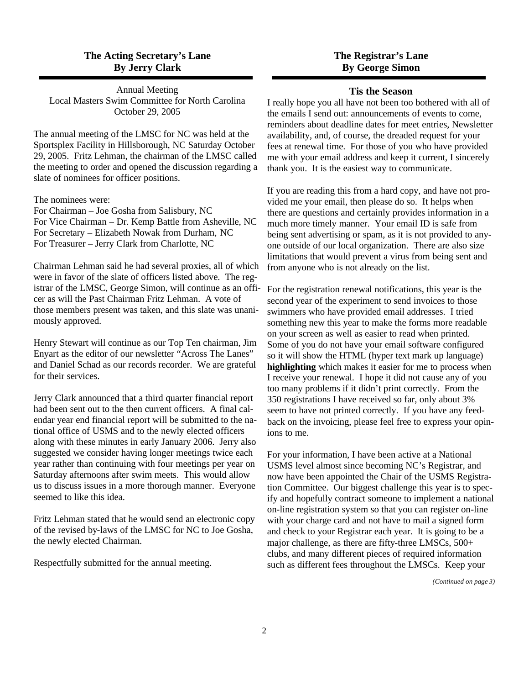# **The Acting Secretary's Lane By Jerry Clark**

Annual Meeting Local Masters Swim Committee for North Carolina October 29, 2005

The annual meeting of the LMSC for NC was held at the Sportsplex Facility in Hillsborough, NC Saturday October 29, 2005. Fritz Lehman, the chairman of the LMSC called the meeting to order and opened the discussion regarding a slate of nominees for officer positions.

The nominees were:

For Chairman – Joe Gosha from Salisbury, NC For Vice Chairman – Dr. Kemp Battle from Asheville, NC For Secretary – Elizabeth Nowak from Durham, NC For Treasurer – Jerry Clark from Charlotte, NC

Chairman Lehman said he had several proxies, all of which were in favor of the slate of officers listed above. The registrar of the LMSC, George Simon, will continue as an officer as will the Past Chairman Fritz Lehman. A vote of those members present was taken, and this slate was unanimously approved.

Henry Stewart will continue as our Top Ten chairman, Jim Enyart as the editor of our newsletter "Across The Lanes" and Daniel Schad as our records recorder. We are grateful for their services.

Jerry Clark announced that a third quarter financial report had been sent out to the then current officers. A final calendar year end financial report will be submitted to the national office of USMS and to the newly elected officers along with these minutes in early January 2006. Jerry also suggested we consider having longer meetings twice each year rather than continuing with four meetings per year on Saturday afternoons after swim meets. This would allow us to discuss issues in a more thorough manner. Everyone seemed to like this idea.

Fritz Lehman stated that he would send an electronic copy of the revised by-laws of the LMSC for NC to Joe Gosha, the newly elected Chairman.

Respectfully submitted for the annual meeting.

# **The Registrar's Lane By George Simon**

#### **Tis the Season**

I really hope you all have not been too bothered with all of the emails I send out: announcements of events to come, reminders about deadline dates for meet entries, Newsletter availability, and, of course, the dreaded request for your fees at renewal time. For those of you who have provided me with your email address and keep it current, I sincerely thank you. It is the easiest way to communicate.

If you are reading this from a hard copy, and have not provided me your email, then please do so. It helps when there are questions and certainly provides information in a much more timely manner. Your email ID is safe from being sent advertising or spam, as it is not provided to anyone outside of our local organization. There are also size limitations that would prevent a virus from being sent and from anyone who is not already on the list.

For the registration renewal notifications, this year is the second year of the experiment to send invoices to those swimmers who have provided email addresses. I tried something new this year to make the forms more readable on your screen as well as easier to read when printed. Some of you do not have your email software configured so it will show the HTML (hyper text mark up language) **highlighting** which makes it easier for me to process when I receive your renewal. I hope it did not cause any of you too many problems if it didn't print correctly. From the 350 registrations I have received so far, only about 3% seem to have not printed correctly. If you have any feedback on the invoicing, please feel free to express your opinions to me.

For your information, I have been active at a National USMS level almost since becoming NC's Registrar, and now have been appointed the Chair of the USMS Registration Committee. Our biggest challenge this year is to specify and hopefully contract someone to implement a national on-line registration system so that you can register on-line with your charge card and not have to mail a signed form and check to your Registrar each year. It is going to be a major challenge, as there are fifty-three LMSCs, 500+ clubs, and many different pieces of required information such as different fees throughout the LMSCs. Keep your

*(Continued on page 3)*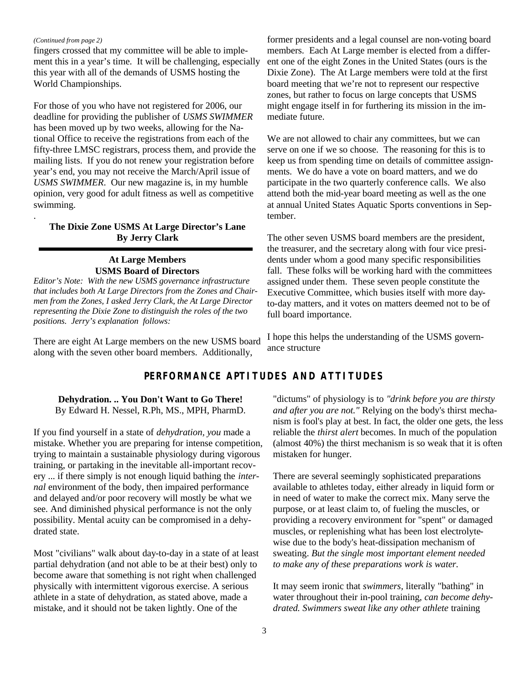#### *(Continued from page 2)*

.

fingers crossed that my committee will be able to implement this in a year's time. It will be challenging, especially this year with all of the demands of USMS hosting the World Championships.

For those of you who have not registered for 2006, our deadline for providing the publisher of *USMS SWIMMER*  has been moved up by two weeks, allowing for the National Office to receive the registrations from each of the fifty-three LMSC registrars, process them, and provide the mailing lists. If you do not renew your registration before year's end, you may not receive the March/April issue of *USMS SWIMMER*. Our new magazine is, in my humble opinion, very good for adult fitness as well as competitive swimming.

### **The Dixie Zone USMS At Large Director's Lane By Jerry Clark**

### **At Large Members USMS Board of Directors**

*Editor's Note: With the new USMS governance infrastructure that includes both At Large Directors from the Zones and Chairmen from the Zones, I asked Jerry Clark, the At Large Director representing the Dixie Zone to distinguish the roles of the two positions. Jerry's explanation follows:*

There are eight At Large members on the new USMS board along with the seven other board members. Additionally,

former presidents and a legal counsel are non-voting board members. Each At Large member is elected from a different one of the eight Zones in the United States (ours is the Dixie Zone). The At Large members were told at the first board meeting that we're not to represent our respective zones, but rather to focus on large concepts that USMS might engage itself in for furthering its mission in the immediate future.

We are not allowed to chair any committees, but we can serve on one if we so choose. The reasoning for this is to keep us from spending time on details of committee assignments. We do have a vote on board matters, and we do participate in the two quarterly conference calls. We also attend both the mid-year board meeting as well as the one at annual United States Aquatic Sports conventions in September.

The other seven USMS board members are the president, the treasurer, and the secretary along with four vice presidents under whom a good many specific responsibilities fall. These folks will be working hard with the committees assigned under them. These seven people constitute the Executive Committee, which busies itself with more dayto-day matters, and it votes on matters deemed not to be of full board importance.

I hope this helps the understanding of the USMS governance structure

# **PERFORMANCE APTITUDES AND ATTITUDES**

**Dehydration. .. You Don't Want to Go There!** By Edward H. Nessel, R.Ph, MS., MPH, PharmD.

If you find yourself in a state of *dehydration, you* made a mistake. Whether you are preparing for intense competition, trying to maintain a sustainable physiology during vigorous training, or partaking in the inevitable all-important recovery ... if there simply is not enough liquid bathing the *internal* environment of the body, then impaired performance and delayed and/or poor recovery will mostly be what we see. And diminished physical performance is not the only possibility. Mental acuity can be compromised in a dehydrated state.

Most "civilians" walk about day-to-day in a state of at least partial dehydration (and not able to be at their best) only to become aware that something is not right when challenged physically with intermittent vigorous exercise. A serious athlete in a state of dehydration, as stated above, made a mistake, and it should not be taken lightly. One of the

"dictums" of physiology is to *"drink before you are thirsty and after you are not."* Relying on the body's thirst mechanism is fool's play at best. In fact, the older one gets, the less reliable the *thirst alert* becomes. In much of the population (almost 40%) the thirst mechanism is so weak that it is often mistaken for hunger.

There are several seemingly sophisticated preparations available to athletes today, either already in liquid form or in need of water to make the correct mix. Many serve the purpose, or at least claim to, of fueling the muscles, or providing a recovery environment for "spent" or damaged muscles, or replenishing what has been lost electrolytewise due to the body's heat-dissipation mechanism of sweating. *But the single most important element needed to make any of these preparations work is water.*

It may seem ironic that *swimmers,* literally "bathing" in water throughout their in-pool training, *can become dehydrated. Swimmers sweat like any other athlete* training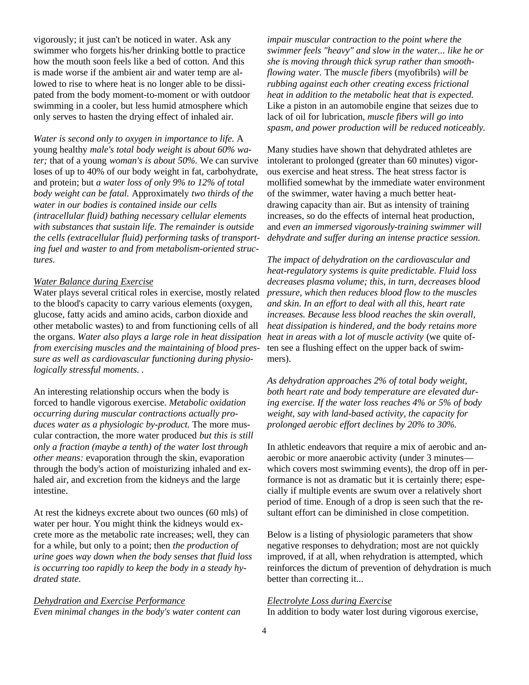vigorously; it just can't be noticed in water. Ask any swimmer who forgets his/her drinking bottle to practice how the mouth soon feels like a bed of cotton. And this is made worse if the ambient air and water temp are allowed to rise to where heat is no longer able to be dissipated from the body moment-to-moment or with outdoor swimming in a cooler, but less humid atmosphere which only serves to hasten the drying effect of inhaled air.

*Water is second only to oxygen in importance to life.* A young healthy *male's total body weight is about 60% water;* that of a young *woman's is about 50%.* We can survive loses of up to 40% of our body weight in fat, carbohydrate, and protein; but *a water loss of only 9% to 12% of total body weight can be fatal.* Approximately *two thirds of the water in our bodies is contained inside our cells (intracellular fluid) bathing necessary cellular elements with substances that sustain life. The remainder is outside the cells (extracellular fluid) performing tasks of transporting fuel and waster to and from metabolism-oriented structures.*

#### *Water Balance during Exercise*

Water plays several critical roles in exercise, mostly related to the blood's capacity to carry various elements (oxygen, glucose, fatty acids and amino acids, carbon dioxide and other metabolic wastes) to and from functioning cells of all the organs. *Water also plays a large role in heat dissipation from exercising muscles and the maintaining of blood pressure as well as cardiovascular functioning during physiologically stressful moments. .*

An interesting relationship occurs when the body is forced to handle vigorous exercise. *Metabolic oxidation occurring during muscular contractions actually produces water as a physiologic by-product.* The more muscular contraction, the more water produced *but this is still only a fraction (maybe a tenth) of the water lost through other means:* evaporation through the skin, evaporation through the body's action of moisturizing inhaled and exhaled air, and excretion from the kidneys and the large intestine.

At rest the kidneys excrete about two ounces (60 mls) of water per hour. You might think the kidneys would excrete more as the metabolic rate increases; well, they can for a while, but only to a point; then *the production of urine goes way down when the body senses that fluid loss is occurring too rapidly to keep the body in a steady hydrated state.*

*Dehydration and Exercise Performance Even minimal changes in the body's water content can* 

*impair muscular contraction to the point where the swimmer feels "heavy" and slow in the water... like he or she is moving through thick syrup rather than smoothflowing water.* The *muscle fibers* (myofibrils) *will be rubbing against each other creating excess frictional heat in addition to the metabolic heat that is expected.*  Like a piston in an automobile engine that seizes due to lack of oil for lubrication, *muscle fibers will go into spasm, and power production will be reduced noticeably.* 

Many studies have shown that dehydrated athletes are intolerant to prolonged (greater than 60 minutes) vigorous exercise and heat stress. The heat stress factor is mollified somewhat by the immediate water environment of the swimmer, water having a much better heatdrawing capacity than air. But as intensity of training increases, so do the effects of internal heat production, and *even an immersed vigorously-training swimmer will dehydrate and suffer during an intense practice session.*

*The impact of dehydration on the cardiovascular and heat-regulatory systems is quite predictable. Fluid loss decreases plasma volume; this, in turn, decreases blood pressure, which then reduces blood flow to the muscles and skin. In an effort to deal with all this, heart rate increases. Because less blood reaches the skin overall, heat dissipation is hindered, and the body retains more heat in areas with a lot of muscle activity* (we quite often see a flushing effect on the upper back of swimmers).

*As dehydration approaches 2% of total body weight, both heart rate and body temperature are elevated during exercise. If the water loss reaches 4% or 5% of body weight, say with land-based activity, the capacity for prolonged aerobic effort declines by 20% to 30%.*

In athletic endeavors that require a mix of aerobic and anaerobic or more anaerobic activity (under 3 minutes which covers most swimming events), the drop off in performance is not as dramatic but it is certainly there; especially if multiple events are swum over a relatively short period of time. Enough of a drop is seen such that the resultant effort can be diminished in close competition.

Below is a listing of physiologic parameters that show negative responses to dehydration; most are not quickly improved, if at all, when rehydration is attempted, which reinforces the dictum of prevention of dehydration is much better than correcting it...

#### *Electrolyte Loss during Exercise*

In addition to body water lost during vigorous exercise,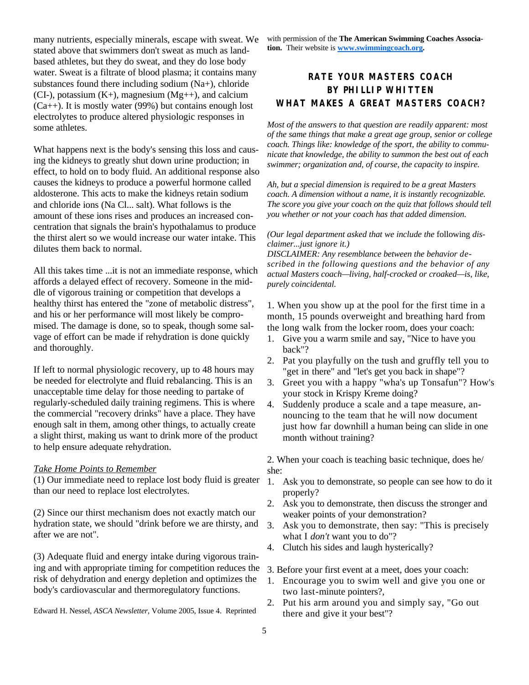many nutrients, especially minerals, escape with sweat. We stated above that swimmers don't sweat as much as landbased athletes, but they do sweat, and they do lose body water. Sweat is a filtrate of blood plasma; it contains many substances found there including sodium (Na+), chloride  $(CI<sub>-</sub>)$ , potassium  $(K<sub>+</sub>)$ , magnesium  $(Mg<sub>++</sub>)$ , and calcium  $(Ca++)$ . It is mostly water (99%) but contains enough lost electrolytes to produce altered physiologic responses in some athletes.

What happens next is the body's sensing this loss and causing the kidneys to greatly shut down urine production; in effect, to hold on to body fluid. An additional response also causes the kidneys to produce a powerful hormone called aldosterone. This acts to make the kidneys retain sodium and chloride ions (Na Cl... salt). What follows is the amount of these ions rises and produces an increased concentration that signals the brain's hypothalamus to produce the thirst alert so we would increase our water intake. This dilutes them back to normal.

All this takes time ...it is not an immediate response, which affords a delayed effect of recovery. Someone in the middle of vigorous training or competition that develops a healthy thirst has entered the "zone of metabolic distress", and his or her performance will most likely be compromised. The damage is done, so to speak, though some salvage of effort can be made if rehydration is done quickly and thoroughly.

If left to normal physiologic recovery, up to 48 hours may be needed for electrolyte and fluid rebalancing. This is an unacceptable time delay for those needing to partake of regularly-scheduled daily training regimens. This is where the commercial "recovery drinks" have a place. They have enough salt in them, among other things, to actually create a slight thirst, making us want to drink more of the product to help ensure adequate rehydration.

#### *Take Home Points to Remember*

(1) Our immediate need to replace lost body fluid is greater than our need to replace lost electrolytes.

(2) Since our thirst mechanism does not exactly match our hydration state, we should "drink before we are thirsty, and after we are not".

(3) Adequate fluid and energy intake during vigorous training and with appropriate timing for competition reduces the risk of dehydration and energy depletion and optimizes the body's cardiovascular and thermoregulatory functions.

Edward H. Nessel, *ASCA Newsletter,* Volume 2005, Issue 4. Reprinted

with permission of the **The American Swimming Coaches Association.** Their website is **www.swimmingcoach.org.**

# **RATE YOUR MASTERS COACH BY PHILLIP WHITTEN WHAT MAKES A GREAT MASTERS COACH?**

*Most of the answers to that question are readily apparent: most of the same things that make a great age group, senior or college coach. Things like: knowledge of the sport, the ability to communicate that knowledge, the ability to summon the best out of each swimmer; organization and, of course, the capacity to inspire.*

*Ah, but a special dimension is required to be a great Masters coach. A dimension without a name, it is instantly recognizable. The score you give your coach on the quiz that follows should tell you whether or not your coach has that added dimension.*

*(Our legal department asked that we include the* following *disclaimer...just ignore it.)*

*DISCLAIMER: Any resemblance between the behavior described in the following questions and the behavior of any actual Masters coach—living, half-crocked or croaked—is, like, purely coincidental.*

1. When you show up at the pool for the first time in a month, 15 pounds overweight and breathing hard from the long walk from the locker room, does your coach:

- 1. Give you a warm smile and say, "Nice to have you back"?
- 2. Pat you playfully on the tush and gruffly tell you to "get in there" and "let's get you back in shape"?
- 3. Greet you with a happy "wha's up Tonsafun"? How's your stock in Krispy Kreme doing?
- 4. Suddenly produce a scale and a tape measure, announcing to the team that he will now document just how far downhill a human being can slide in one month without training?

2. When your coach is teaching basic technique, does he/ she:

- 1. Ask you to demonstrate, so people can see how to do it properly?
- 2. Ask you to demonstrate, then discuss the stronger and weaker points of your demonstration?
- 3. Ask you to demonstrate, then say: "This is precisely what I *don't* want you to do"?
- 4. Clutch his sides and laugh hysterically?

3. Before your first event at a meet, does your coach:

- 1. Encourage you to swim well and give you one or two last-minute pointers?,
- 2. Put his arm around you and simply say, "Go out there and give it your best"?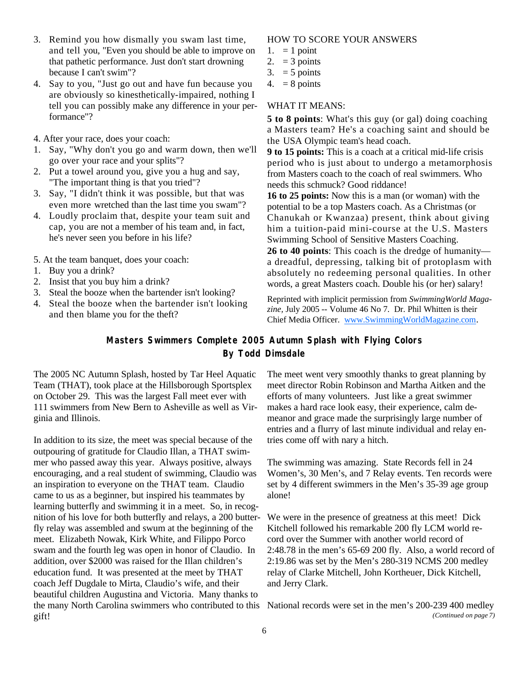- 3. Remind you how dismally you swam last time, and tell you, "Even you should be able to improve on that pathetic performance. Just don't start drowning because I can't swim"?
- 4. Say to you, "Just go out and have fun because you are obviously so kinesthetically-impaired, nothing I tell you can possibly make any difference in your performance"?
- 4. After your race, does your coach:
- 1. Say, "Why don't you go and warm down, then we'll go over your race and your splits"?
- 2. Put a towel around you, give you a hug and say, "The important thing is that you tried"?
- 3. Say, "I didn't think it was possible, but that was even more wretched than the last time you swam"?
- 4. Loudly proclaim that, despite your team suit and cap, you are not a member of his team and, in fact, he's never seen you before in his life?
- 5. At the team banquet, does your coach:
- 1. Buy you a drink?
- 2. Insist that you buy him a drink?
- 3. Steal the booze when the bartender isn't looking?
- 4. Steal the booze when the bartender isn't looking and then blame you for the theft?

#### HOW TO SCORE YOUR ANSWERS

- 1.  $= 1$  point
- 2.  $=$  3 points
- $3. = 5$  points
- 4. =  $8$  points

#### WHAT IT MEANS:

**5 to 8 points**: What's this guy (or gal) doing coaching a Masters team? He's a coaching saint and should be the USA Olympic team's head coach.

**9 to 15 points:** This is a coach at a critical mid-life crisis period who is just about to undergo a metamorphosis from Masters coach to the coach of real swimmers. Who needs this schmuck? Good riddance!

**16 to 25 points:** Now this is a man (or woman) with the potential to be a top Masters coach. As a Christmas (or Chanukah or Kwanzaa) present, think about giving him a tuition-paid mini-course at the U.S. Masters Swimming School of Sensitive Masters Coaching.

**26 to 40 points**: This coach is the dredge of humanity a dreadful, depressing, talking bit of protoplasm with absolutely no redeeming personal qualities. In other words, a great Masters coach. Double his (or her) salary!

Reprinted with implicit permission from *SwimmingWorld Magazine,* July 2005 -- Volume 46 No 7. Dr. Phil Whitten is their Chief Media Officer. www.SwimmingWorldMagazine.com.

# **Masters Swimmers Complete 2005 Autumn Splash with Flying Colors By Todd Dimsdale**

The 2005 NC Autumn Splash, hosted by Tar Heel Aquatic Team (THAT), took place at the Hillsborough Sportsplex on October 29. This was the largest Fall meet ever with 111 swimmers from New Bern to Asheville as well as Virginia and Illinois.

In addition to its size, the meet was special because of the outpouring of gratitude for Claudio Illan, a THAT swimmer who passed away this year. Always positive, always encouraging, and a real student of swimming, Claudio was an inspiration to everyone on the THAT team. Claudio came to us as a beginner, but inspired his teammates by learning butterfly and swimming it in a meet. So, in recognition of his love for both butterfly and relays, a 200 butterfly relay was assembled and swum at the beginning of the meet. Elizabeth Nowak, Kirk White, and Filippo Porco swam and the fourth leg was open in honor of Claudio. In addition, over \$2000 was raised for the Illan children's education fund. It was presented at the meet by THAT coach Jeff Dugdale to Mirta, Claudio's wife, and their beautiful children Augustina and Victoria. Many thanks to the many North Carolina swimmers who contributed to this National records were set in the men's 200-239 400 medley gift!

The meet went very smoothly thanks to great planning by meet director Robin Robinson and Martha Aitken and the efforts of many volunteers. Just like a great swimmer makes a hard race look easy, their experience, calm demeanor and grace made the surprisingly large number of entries and a flurry of last minute individual and relay entries come off with nary a hitch.

The swimming was amazing. State Records fell in 24 Women's, 30 Men's, and 7 Relay events. Ten records were set by 4 different swimmers in the Men's 35-39 age group alone!

We were in the presence of greatness at this meet! Dick Kitchell followed his remarkable 200 fly LCM world record over the Summer with another world record of 2:48.78 in the men's 65-69 200 fly. Also, a world record of 2:19.86 was set by the Men's 280-319 NCMS 200 medley relay of Clarke Mitchell, John Kortheuer, Dick Kitchell, and Jerry Clark.

*(Continued on page 7)*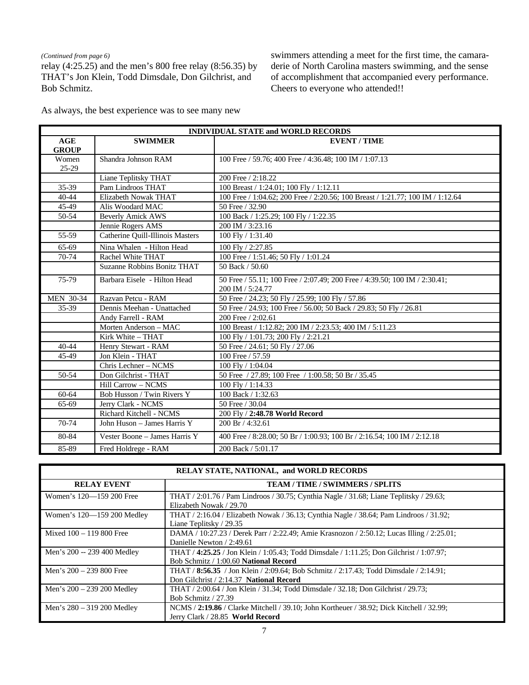#### *(Continued from page 6)*

relay (4:25.25) and the men's 800 free relay (8:56.35) by THAT's Jon Klein, Todd Dimsdale, Don Gilchrist, and Bob Schmitz.

swimmers attending a meet for the first time, the camaraderie of North Carolina masters swimming, and the sense of accomplishment that accompanied every performance. Cheers to everyone who attended!!

As always, the best experience was to see many new

| <b>INDIVIDUAL STATE and WORLD RECORDS</b> |                                  |                                                                                |  |  |
|-------------------------------------------|----------------------------------|--------------------------------------------------------------------------------|--|--|
| <b>AGE</b>                                | <b>SWIMMER</b>                   | <b>EVENT / TIME</b>                                                            |  |  |
| <b>GROUP</b>                              |                                  |                                                                                |  |  |
| Women                                     | Shandra Johnson RAM              | 100 Free / 59.76; 400 Free / 4:36.48; 100 IM / 1:07.13                         |  |  |
| 25-29                                     |                                  |                                                                                |  |  |
|                                           | Liane Teplitsky THAT             | 200 Free / 2:18.22                                                             |  |  |
| 35-39                                     | Pam Lindroos THAT                | 100 Breast / 1:24.01; 100 Fly / 1:12.11                                        |  |  |
| $40 - 44$                                 | Elizabeth Nowak THAT             | 100 Free / 1:04.62; 200 Free / 2:20.56; 100 Breast / 1:21.77; 100 IM / 1:12.64 |  |  |
| 45-49                                     | Alis Woodard MAC                 | 50 Free / 32.90                                                                |  |  |
| 50-54                                     | <b>Beverly Amick AWS</b>         | 100 Back / 1:25.29; 100 Fly / 1:22.35                                          |  |  |
|                                           | Jennie Rogers AMS                | 200 IM / 3:23.16                                                               |  |  |
| 55-59                                     | Catherine Quill-Illinois Masters | 100 Fly / 1:31.40                                                              |  |  |
| 65-69                                     | Nina Whalen - Hilton Head        | 100 Fly / 2:27.85                                                              |  |  |
| 70-74                                     | Rachel White THAT                | 100 Free / 1:51.46; 50 Fly / 1:01.24                                           |  |  |
|                                           | Suzanne Robbins Bonitz THAT      | 50 Back / 50.60                                                                |  |  |
| 75-79                                     | Barbara Eisele - Hilton Head     | 50 Free / 55.11; 100 Free / 2:07.49; 200 Free / 4:39.50; 100 IM / 2:30.41;     |  |  |
|                                           |                                  | 200 IM / 5:24.77                                                               |  |  |
| <b>MEN 30-34</b><br>Razvan Petcu - RAM    |                                  | 50 Free / 24.23; 50 Fly / 25.99; 100 Fly / 57.86                               |  |  |
| 35-39                                     | Dennis Meehan - Unattached       | 50 Free / 24.93; 100 Free / 56.00; 50 Back / 29.83; 50 Fly / 26.81             |  |  |
|                                           | Andy Farrell - RAM               | 200 Free / 2:02.61                                                             |  |  |
|                                           | Morten Anderson - MAC            | 100 Breast / 1:12.82; 200 IM / 2:23.53; 400 IM / 5:11.23                       |  |  |
|                                           | Kirk White - THAT                | 100 Fly / 1:01.73; 200 Fly / 2:21.21                                           |  |  |
| $40 - 44$                                 | Henry Stewart - RAM              | 50 Free / 24.61; 50 Fly / 27.06                                                |  |  |
| 45-49                                     | Jon Klein - THAT                 | 100 Free / 57.59                                                               |  |  |
|                                           | Chris Lechner - NCMS             | 100 Flv $/$ 1:04.04                                                            |  |  |
| 50-54                                     | Don Gilchrist - THAT             | 50 Free / 27.89; 100 Free / 1:00.58; 50 Br / 35.45                             |  |  |
|                                           | <b>Hill Carrow - NCMS</b>        | 100 Fly / 1:14.33                                                              |  |  |
| 60-64                                     | Bob Husson / Twin Rivers Y       | 100 Back / 1:32.63                                                             |  |  |
| 65-69                                     | Jerry Clark - NCMS               | 50 Free / 30.04                                                                |  |  |
|                                           | Richard Kitchell - NCMS          | 200 Fly / 2:48.78 World Record                                                 |  |  |
| 70-74                                     | John Huson - James Harris Y      | 200 Br / 4:32.61                                                               |  |  |
| 80-84                                     | Vester Boone - James Harris Y    | 400 Free / 8:28.00; 50 Br / 1:00.93; 100 Br / 2:16.54; 100 IM / 2:12.18        |  |  |
| 85-89                                     | Fred Holdrege - RAM              | 200 Back / 5:01.17                                                             |  |  |

| <b>RELAY STATE, NATIONAL, and WORLD RECORDS</b>              |                                                                                                                                  |  |  |  |
|--------------------------------------------------------------|----------------------------------------------------------------------------------------------------------------------------------|--|--|--|
| <b>RELAY EVENT</b><br><b>TEAM / TIME / SWIMMERS / SPLITS</b> |                                                                                                                                  |  |  |  |
| Women's 120-159 200 Free                                     | THAT / 2:01.76 / Pam Lindroos / 30.75; Cynthia Nagle / 31.68; Liane Teplitsky / 29.63;<br>Elizabeth Nowak / 29.70                |  |  |  |
| Women's 120-159 200 Medley                                   | THAT / 2:16.04 / Elizabeth Nowak / 36.13; Cynthia Nagle / 38.64; Pam Lindroos / 31.92;<br>Liane Teplitsky / 29.35                |  |  |  |
| Mixed $100 - 119800$ Free                                    | DAMA / 10:27.23 / Derek Parr / 2:22.49; Amie Krasnozon / 2:50.12; Lucas Illing / 2:25.01;<br>Danielle Newton / 2:49.61           |  |  |  |
| Men's 200 -- 239 400 Medley                                  | THAT / 4:25.25 / Jon Klein / 1:05.43; Todd Dimsdale / 1:11.25; Don Gilchrist / 1:07.97;<br>Bob Schmitz / 1:00.60 National Record |  |  |  |
| Men's $200 - 239800$ Free                                    | THAT / 8:56.35 / Jon Klein / 2:09.64; Bob Schmitz / 2:17.43; Todd Dimsdale / 2:14.91;<br>Don Gilchrist / 2:14.37 National Record |  |  |  |
| Men's $200 - 239200$ Medley                                  | THAT / 2:00.64 / Jon Klein / 31.34; Todd Dimsdale / 32.18; Don Gilchrist / 29.73;<br>Bob Schmitz $/27.39$                        |  |  |  |
| Men's $280 - 319200$ Medley                                  | NCMS / 2:19.86 / Clarke Mitchell / 39.10; John Kortheuer / 38.92; Dick Kitchell / 32.99;<br>Jerry Clark / 28.85 World Record     |  |  |  |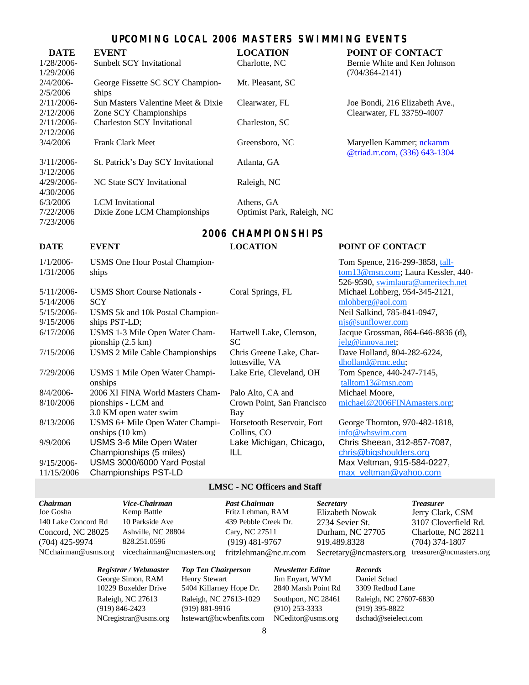# **UPCOMING LOCAL 2006 MASTERS SWIMMING EVENTS**

| <b>DATE</b>   | <b>EVENT</b>                       | <b>LOCATION</b>            | POINT OF CONTACT               |
|---------------|------------------------------------|----------------------------|--------------------------------|
| $1/28/2006$ - | Sunbelt SCY Invitational           | Charlotte, NC              | Bernie White and Ken Johnson   |
| 1/29/2006     |                                    |                            | $(704/364 - 2141)$             |
| $2/4/2006$ -  | George Fissette SC SCY Champion-   | Mt. Pleasant, SC           |                                |
| 2/5/2006      | ships                              |                            |                                |
| 2/11/2006     | Sun Masters Valentine Meet & Dixie | Clearwater, FL             | Joe Bondi, 216 Elizabeth Ave., |
| 2/12/2006     | Zone SCY Championships             |                            | Clearwater, FL 33759-4007      |
| 2/11/2006     | <b>Charleston SCY Invitational</b> | Charleston, SC             |                                |
| 2/12/2006     |                                    |                            |                                |
| 3/4/2006      | <b>Frank Clark Meet</b>            | Greensboro, NC             | Maryellen Kammer; nckamm       |
|               |                                    |                            | @triad.rr.com, (336) 643-1304  |
| 3/11/2006     | St. Patrick's Day SCY Invitational | Atlanta, GA                |                                |
| 3/12/2006     |                                    |                            |                                |
| $4/29/2006$ - | NC State SCY Invitational          | Raleigh, NC                |                                |
| 4/30/2006     |                                    |                            |                                |
| 6/3/2006      | <b>LCM</b> Invitational            | Athens, GA                 |                                |
| 7/22/2006     | Dixie Zone LCM Championships       | Optimist Park, Raleigh, NC |                                |
| 7/23/2006     |                                    |                            |                                |

# **2006 CHAMPIONSHIPS**

# $1/1/200c$

| $1/1/2006-$<br>1/31/2006 | <b>USMS</b> One Hour Postal Champion-<br>ships                |                                             |
|--------------------------|---------------------------------------------------------------|---------------------------------------------|
| 5/11/2006-               | <b>USMS Short Course Nationals -</b>                          | Coral Springs, FL                           |
| 5/14/2006                | <b>SCY</b>                                                    |                                             |
| $5/15/2006$ -            | USMS 5k and 10k Postal Champion-                              |                                             |
| 9/15/2006                | ships PST-LD;                                                 |                                             |
| 6/17/2006                | USMS 1-3 Mile Open Water Cham-<br>pionship $(2.5 \text{ km})$ | Hartwell Lake, Clemson,<br>SС               |
| 7/15/2006                | USMS 2 Mile Cable Championships                               | Chris Greene Lake, Char-<br>lottesville, VA |
| 7/29/2006                | USMS 1 Mile Open Water Champi-<br>onships                     | Lake Erie, Cleveland, OH                    |
| $8/4/2006$ -             | 2006 XI FINA World Masters Cham-                              | Palo Alto, CA and                           |
| 8/10/2006                | pionships - LCM and                                           | Crown Point, San Francisco                  |
|                          | 3.0 KM open water swim                                        | Bay                                         |
| 8/13/2006                | USMS 6+ Mile Open Water Champi-                               | Horsetooth Reservoir, Fort                  |
|                          | onships (10 km)                                               | Collins, CO                                 |
| 9/9/2006                 | USMS 3-6 Mile Open Water                                      | Lake Michigan, Chicago,                     |
|                          | Championships (5 miles)                                       | ILL                                         |
| $9/15/2006$ -            | USMS 3000/6000 Yard Postal                                    |                                             |
| 11/15/2006               | <b>Championships PST-LD</b>                                   |                                             |

### **DATE EVENT LOCATION POINT OF CONTACT**

Tom Spence, 216-299-3858, talltom13@msn.com; Laura Kessler, 440- 526-9590, swimlaura@ameritech.net gs, FL Michael Lohberg,  $954-345-2121$ , mlohberg@aol.com Neil Salkind, 785-841-0947, njs@sunflower.com Jacque Grossman, 864-646-8836 (d), jelg@innova.net; Dave Holland, 804-282-6224, dholland@rmc.edu;  $\text{Cleveland}, \text{OH}$  Tom Spence, 440-247-7145, talltom13@msn.com Michael Moore, michael@2006FINAmasters.org;

> George Thornton, 970-482-1818, info@whswim.com Chris Sheean, 312-857-7087, chris@bigshoulders.org Max Veltman, 915-584-0227, max\_veltman@yahoo.com

#### **LMSC - NC Officers and Staff**

*Chairman Vice-Chairman Past Chairman Secretary Treasurer* Joe Gosha Kemp Battle Fritz Lehman, RAM Elizabeth Nowak Jerry Clark, CSM 140 Lake Concord Rd 10 Parkside Ave 439 Pebble Creek Dr. 2734 Sevier St. 3107 Cloverfield Rd. Concord, NC 28025 Ashville, NC 28804 Cary, NC 27511 Durham, NC 27705 Charlotte, NC 28211 (704) 425-9974 828.251.0596 (919) 481-9767 919.489.8328 (704) 374-1807 NCchairman@usms.org vicechairman@ncmasters.org fritzlehman@nc.rr.com Secretary@ncmasters.org treasurer@ncmasters.org

*Registrar / Webmaster Top Ten Chairperson Newsletter Editor Records* George Simon, RAM Henry Stewart Jim Enyart, WYM Daniel Schad 10229 Boxelder Drive 5404 Killarney Hope Dr. 2840 Marsh Point Rd 3309 Redbud Lane Raleigh, NC 27613 Raleigh, NC 27613-1029 Southport, NC 28461 Raleigh, NC 27607-6830 (919) 846-2423 (919) 881-9916 (910) 253-3333 (919) 395-8822 NCregistrar@usms.org hstewart@hcwbenfits.com NCeditor@usms.org dschad@seielect.com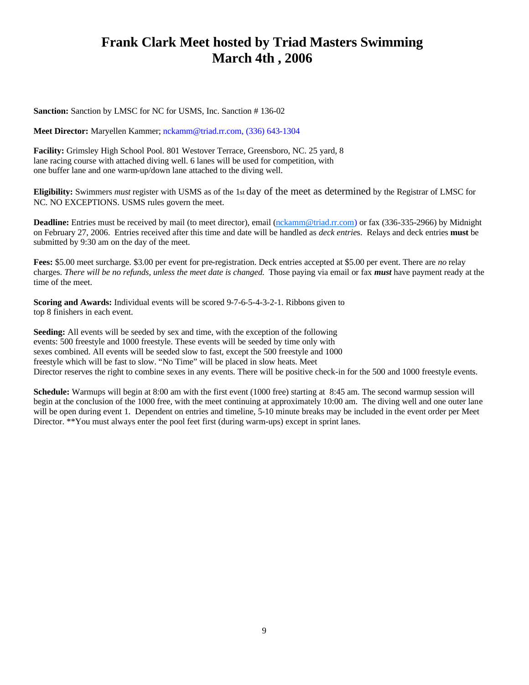# **Frank Clark Meet hosted by Triad Masters Swimming March 4th , 2006**

**Sanction:** Sanction by LMSC for NC for USMS, Inc. Sanction # 136-02

**Meet Director:** Maryellen Kammer; nckamm@triad.rr.com, (336) 643-1304

**Facility:** Grimsley High School Pool. 801 Westover Terrace, Greensboro, NC. 25 yard, 8 lane racing course with attached diving well. 6 lanes will be used for competition, with one buffer lane and one warm-up/down lane attached to the diving well.

**Eligibility:** Swimmers *must* register with USMS as of the 1st day of the meet as determined by the Registrar of LMSC for NC. NO EXCEPTIONS. USMS rules govern the meet.

Deadline: Entries must be received by mail (to meet director), email (nckamm@triad.rr.com) or fax (336-335-2966) by Midnight on February 27, 2006. Entries received after this time and date will be handled as *deck entrie*s. Relays and deck entries **must** be submitted by 9:30 am on the day of the meet.

**Fees:** \$5.00 meet surcharge. \$3.00 per event for pre-registration. Deck entries accepted at \$5.00 per event. There are *no* relay charges. *There will be no refunds, unless the meet date is changed*. Those paying via email or fax *must* have payment ready at the time of the meet.

**Scoring and Awards:** Individual events will be scored 9-7-6-5-4-3-2-1. Ribbons given to top 8 finishers in each event.

**Seeding:** All events will be seeded by sex and time, with the exception of the following events: 500 freestyle and 1000 freestyle. These events will be seeded by time only with sexes combined. All events will be seeded slow to fast, except the 500 freestyle and 1000 freestyle which will be fast to slow. "No Time" will be placed in slow heats. Meet Director reserves the right to combine sexes in any events. There will be positive check-in for the 500 and 1000 freestyle events.

**Schedule:** Warmups will begin at 8:00 am with the first event (1000 free) starting at 8:45 am. The second warmup session will begin at the conclusion of the 1000 free, with the meet continuing at approximately 10:00 am. The diving well and one outer lane will be open during event 1. Dependent on entries and timeline, 5-10 minute breaks may be included in the event order per Meet Director. \*\*You must always enter the pool feet first (during warm-ups) except in sprint lanes.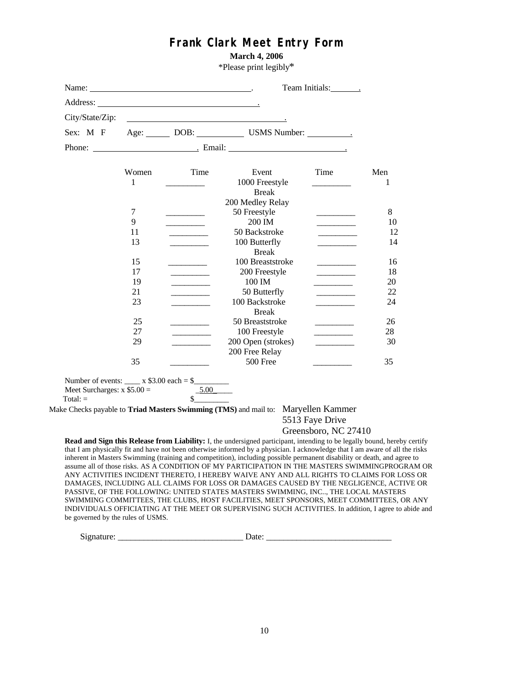# **Frank Clark Meet Entry Form**

**March 4, 2006**

\*Please print legibly\*

|                 |       |                                                 | *Please print legibly*                                                                                                                                                                                                               |                                                |     |
|-----------------|-------|-------------------------------------------------|--------------------------------------------------------------------------------------------------------------------------------------------------------------------------------------------------------------------------------------|------------------------------------------------|-----|
|                 |       |                                                 |                                                                                                                                                                                                                                      | Team Initials: Team                            |     |
|                 |       |                                                 |                                                                                                                                                                                                                                      |                                                |     |
| City/State/Zip: |       |                                                 | <u>and the contract of the contract of the contract of the contract of the contract of the contract of the contract of the contract of the contract of the contract of the contract of the contract of the contract of the contr</u> |                                                |     |
| Sex: M F        |       |                                                 | Age: DOB: USMS Number:                                                                                                                                                                                                               |                                                |     |
|                 |       |                                                 | Phone: Samuel Maria Email: Samuel Maria Email: Samuel Maria Annual Maria Annual Maria Annual Maria Annual Maria Annual Maria Annual Maria Annual Maria Annual Maria Annual Maria Annual Maria Annual Maria Annual Maria Annual       |                                                |     |
|                 | Women | Time                                            | Event                                                                                                                                                                                                                                | Time                                           | Men |
|                 | 1     |                                                 | 1000 Freestyle<br><b>Break</b>                                                                                                                                                                                                       |                                                | 1   |
|                 |       |                                                 | 200 Medley Relay                                                                                                                                                                                                                     |                                                |     |
|                 | 7     |                                                 | 50 Freestyle                                                                                                                                                                                                                         |                                                | 8   |
|                 | 9     |                                                 | 200 IM                                                                                                                                                                                                                               |                                                | 10  |
|                 | 11    |                                                 | 50 Backstroke                                                                                                                                                                                                                        |                                                | 12  |
|                 | 13    |                                                 | 100 Butterfly                                                                                                                                                                                                                        | $\mathcal{L} = \mathcal{L} \mathcal{L}$        | 14  |
|                 |       |                                                 | <b>Break</b>                                                                                                                                                                                                                         |                                                |     |
|                 | 15    |                                                 | 100 Breaststroke                                                                                                                                                                                                                     | $\mathcal{L} = \mathcal{L} \times \mathcal{L}$ | 16  |
|                 | 17    | <u> 1989 - Johann Barnett, fransk politiker</u> | 200 Freestyle                                                                                                                                                                                                                        |                                                | 18  |
|                 | 19    |                                                 | 100 IM                                                                                                                                                                                                                               |                                                | 20  |
|                 | 21    | $\mathcal{L} = \mathcal{L} \mathcal{L}$         | 50 Butterfly                                                                                                                                                                                                                         |                                                | 22  |
|                 | 23    |                                                 | 100 Backstroke<br><b>Break</b>                                                                                                                                                                                                       |                                                | 24  |
|                 | 25    |                                                 | 50 Breaststroke                                                                                                                                                                                                                      |                                                | 26  |
|                 | 27    |                                                 | 100 Freestyle                                                                                                                                                                                                                        |                                                | 28  |
|                 | 29    |                                                 | 200 Open (strokes)                                                                                                                                                                                                                   |                                                | 30  |
|                 |       |                                                 | 200 Free Relay                                                                                                                                                                                                                       |                                                |     |
|                 | 35    |                                                 | 500 Free                                                                                                                                                                                                                             |                                                | 35  |

Total:  $=$ 

Meet Surcharges:  $x $5.00 =$   $\underline{5.00}$ <br>Total: =  $$$ 

Make Checks payable to **Triad Masters Swimming (TMS)** and mail to: Maryellen Kammer

# 5513 Faye Drive Greensboro, NC 27410

**Read and Sign this Release from Liability:** I, the undersigned participant, intending to be legally bound, hereby certify that I am physically fit and have not been otherwise informed by a physician. I acknowledge that I am aware of all the risks inherent in Masters Swimming (training and competition), including possible permanent disability or death, and agree to assume all of those risks. AS A CONDITION OF MY PARTICIPATION IN THE MASTERS SWIMMINGPROGRAM OR ANY ACTIVITIES INCIDENT THERETO, I HEREBY WAIVE ANY AND ALL RIGHTS TO CLAIMS FOR LOSS OR DAMAGES, INCLUDING ALL CLAIMS FOR LOSS OR DAMAGES CAUSED BY THE NEGLIGENCE, ACTIVE OR PASSIVE, OF THE FOLLOWING: UNITED STATES MASTERS SWIMMING, INC.., THE LOCAL MASTERS SWIMMING COMMITTEES, THE CLUBS, HOST FACILITIES, MEET SPONSORS, MEET COMMITTEES, OR ANY INDIVIDUALS OFFICIATING AT THE MEET OR SUPERVISING SUCH ACTIVITIES. In addition, I agree to abide and be governed by the rules of USMS.

Signature: \_\_\_\_\_\_\_\_\_\_\_\_\_\_\_\_\_\_\_\_\_\_\_\_\_\_\_\_\_ Date: \_\_\_\_\_\_\_\_\_\_\_\_\_\_\_\_\_\_\_\_\_\_\_\_\_\_\_\_\_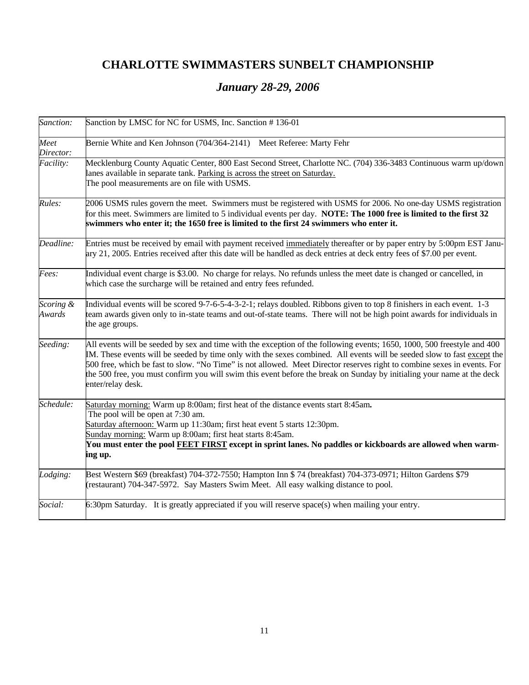# **CHARLOTTE SWIMMASTERS SUNBELT CHAMPIONSHIP**

# *January 28-29, 2006*

| Sanction:           | Sanction by LMSC for NC for USMS, Inc. Sanction #136-01                                                                                                                                                                                                                                                                                                                                                                                                                                                                      |  |  |
|---------------------|------------------------------------------------------------------------------------------------------------------------------------------------------------------------------------------------------------------------------------------------------------------------------------------------------------------------------------------------------------------------------------------------------------------------------------------------------------------------------------------------------------------------------|--|--|
| Meet<br>Director:   | Bernie White and Ken Johnson (704/364-2141) Meet Referee: Marty Fehr                                                                                                                                                                                                                                                                                                                                                                                                                                                         |  |  |
| Facility:           | Mecklenburg County Aquatic Center, 800 East Second Street, Charlotte NC. (704) 336-3483 Continuous warm up/down<br>lanes available in separate tank. Parking is across the street on Saturday.<br>The pool measurements are on file with USMS.                                                                                                                                                                                                                                                                               |  |  |
| Rules:              | 2006 USMS rules govern the meet. Swimmers must be registered with USMS for 2006. No one-day USMS registration<br>for this meet. Swimmers are limited to 5 individual events per day. NOTE: The 1000 free is limited to the first 32<br>swimmers who enter it; the 1650 free is limited to the first 24 swimmers who enter it.                                                                                                                                                                                                |  |  |
| Deadline:           | Entries must be received by email with payment received immediately thereafter or by paper entry by 5:00pm EST Janu-<br>ary 21, 2005. Entries received after this date will be handled as deck entries at deck entry fees of \$7.00 per event.                                                                                                                                                                                                                                                                               |  |  |
| Fees:               | Individual event charge is \$3.00. No charge for relays. No refunds unless the meet date is changed or cancelled, in<br>which case the surcharge will be retained and entry fees refunded.                                                                                                                                                                                                                                                                                                                                   |  |  |
| Scoring &<br>Awards | Individual events will be scored 9-7-6-5-4-3-2-1; relays doubled. Ribbons given to top 8 finishers in each event. 1-3<br>team awards given only to in-state teams and out-of-state teams. There will not be high point awards for individuals in<br>the age groups.                                                                                                                                                                                                                                                          |  |  |
| Seeding:            | All events will be seeded by sex and time with the exception of the following events; 1650, 1000, 500 freestyle and 400<br>IM. These events will be seeded by time only with the sexes combined. All events will be seeded slow to fast except the<br>500 free, which be fast to slow. "No Time" is not allowed. Meet Director reserves right to combine sexes in events. For<br>the 500 free, you must confirm you will swim this event before the break on Sunday by initialing your name at the deck<br>enter/relay desk. |  |  |
| Schedule:           | Saturday morning: Warm up 8:00am; first heat of the distance events start 8:45am.<br>The pool will be open at 7:30 am.<br>Saturday afternoon: Warm up 11:30am; first heat event 5 starts 12:30pm.<br>Sunday morning: Warm up 8:00am; first heat starts 8:45am.<br>You must enter the pool FEET FIRST except in sprint lanes. No paddles or kickboards are allowed when warm-<br>ing up.                                                                                                                                      |  |  |
| Lodging:            | Best Western \$69 (breakfast) 704-372-7550; Hampton Inn \$74 (breakfast) 704-373-0971; Hilton Gardens \$79<br>(restaurant) 704-347-5972. Say Masters Swim Meet. All easy walking distance to pool.                                                                                                                                                                                                                                                                                                                           |  |  |
| Social:             | 6:30pm Saturday. It is greatly appreciated if you will reserve space(s) when mailing your entry.                                                                                                                                                                                                                                                                                                                                                                                                                             |  |  |